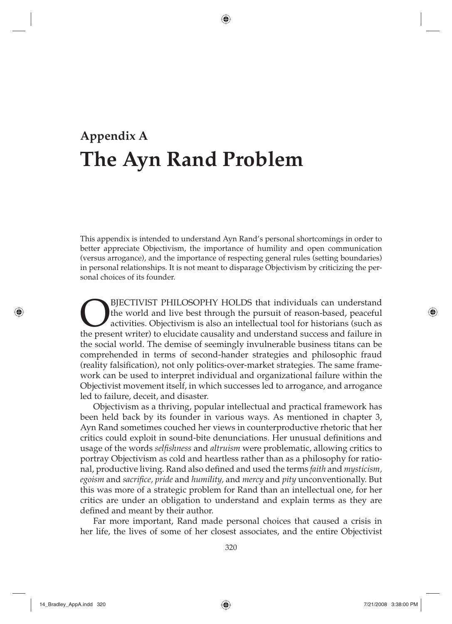# **Appendix A The Ayn Rand Problem**

This appendix is intended to understand Ayn Rand's personal shortcomings in order to better appreciate Objectivism, the importance of humility and open communication (versus arrogance), and the importance of respecting general rules (setting boundaries) in personal relationships. It is not meant to disparage Objectivism by criticizing the personal choices of its founder.

**OBJECTIVIST PHILOSOPHY HOLDS** that individuals can understand the world and live best through the pursuit of reason-based, peaceful activities. Objectivism is also an intellectual tool for historians (such as the present the world and live best through the pursuit of reason-based, peaceful activities. Objectivism is also an intellectual tool for historians (such as the present writer) to elucidate causality and understand success and failure in the social world. The demise of seemingly invulnerable business titans can be comprehended in terms of second-hander strategies and philosophic fraud (reality falsification), not only politics-over-market strategies. The same framework can be used to interpret individual and organizational failure within the Objectivist movement itself, in which successes led to arrogance, and arrogance led to failure, deceit, and disaster.

Objectivism as a thriving, popular intellectual and practical framework has been held back by its founder in various ways. As mentioned in chapter 3, Ayn Rand sometimes couched her views in counterproductive rhetoric that her critics could exploit in sound-bite denunciations. Her unusual definitions and usage of the words *selfishness* and *altruism* were problematic, allowing critics to portray Objectivism as cold and heartless rather than as a philosophy for rational, productive living. Rand also defi ned and used the terms *faith* and *mysticism, egoism* and *sacrifi ce, pride* and *humility,* and *mercy* and *pity* unconventionally. But this was more of a strategic problem for Rand than an intellectual one, for her critics are under an obligation to understand and explain terms as they are defined and meant by their author.

Far more important, Rand made personal choices that caused a crisis in her life, the lives of some of her closest associates, and the entire Objectivist

◈

↔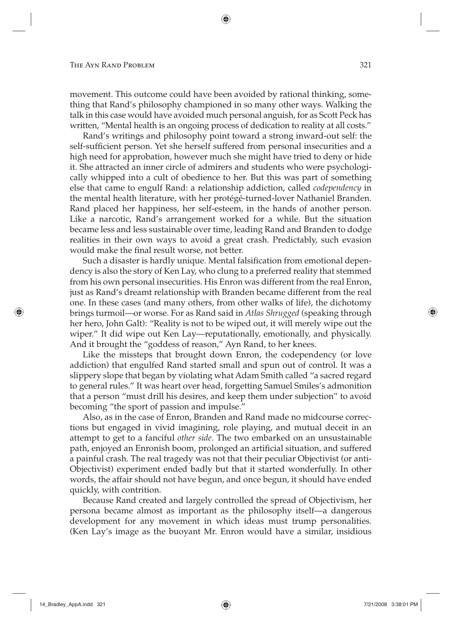movement. This outcome could have been avoided by rational thinking, something that Rand's philosophy championed in so many other ways. Walking the talk in this case would have avoided much personal anguish, for as Scott Peck has written, "Mental health is an ongoing process of dedication to reality at all costs."

Rand's writings and philosophy point toward a strong inward-out self: the self-sufficient person. Yet she herself suffered from personal insecurities and a high need for approbation, however much she might have tried to deny or hide it. She attracted an inner circle of admirers and students who were psychologically whipped into a cult of obedience to her. But this was part of something else that came to engulf Rand: a relationship addiction, called *codependency* in the mental health literature, with her protégé-turned-lover Nathaniel Branden. Rand placed her happiness, her self-esteem, in the hands of another person. Like a narcotic, Rand's arrangement worked for a while. But the situation became less and less sustainable over time, leading Rand and Branden to dodge realities in their own ways to avoid a great crash. Predictably, such evasion would make the final result worse, not better.

Such a disaster is hardly unique. Mental falsification from emotional dependency is also the story of Ken Lay, who clung to a preferred reality that stemmed from his own personal insecurities. His Enron was different from the real Enron, just as Rand's dreamt relationship with Branden became different from the real one. In these cases (and many others, from other walks of life), the dichotomy brings turmoil—or worse. For as Rand said in *Atlas Shrugged* (speaking through her hero, John Galt): "Reality is not to be wiped out, it will merely wipe out the wiper." It did wipe out Ken Lay—reputationally, emotionally, and physically. And it brought the "goddess of reason," Ayn Rand, to her knees.

Like the missteps that brought down Enron, the codependency (or love addiction) that engulfed Rand started small and spun out of control. It was a slippery slope that began by violating what Adam Smith called "a sacred regard to general rules." It was heart over head, forgetting Samuel Smiles's admonition that a person "must drill his desires, and keep them under subjection" to avoid becoming "the sport of passion and impulse."

Also, as in the case of Enron, Branden and Rand made no midcourse corrections but engaged in vivid imagining, role playing, and mutual deceit in an attempt to get to a fanciful *other side.* The two embarked on an unsustainable path, enjoyed an Enronish boom, prolonged an artificial situation, and suffered a painful crash. The real tragedy was not that their peculiar Objectivist (or anti-Objectivist) experiment ended badly but that it started wonderfully. In other words, the affair should not have begun, and once begun, it should have ended quickly, with contrition.

Because Rand created and largely controlled the spread of Objectivism, her persona became almost as important as the philosophy itself—a dangerous development for any movement in which ideas must trump personalities. (Ken Lay's image as the buoyant Mr. Enron would have a similar, insidious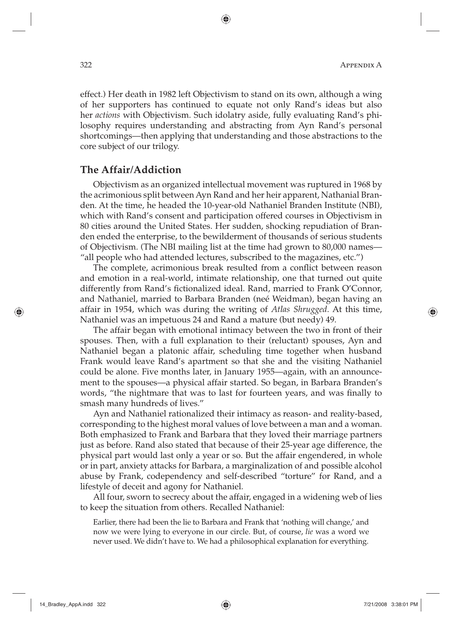effect.) Her death in 1982 left Objectivism to stand on its own, although a wing of her supporters has continued to equate not only Rand's ideas but also her *actions* with Objectivism. Such idolatry aside, fully evaluating Rand's philosophy requires understanding and abstracting from Ayn Rand's personal shortcomings—then applying that understanding and those abstractions to the core subject of our trilogy.

## **The Affair/Addiction**

Objectivism as an organized intellectual movement was ruptured in 1968 by the acrimonious split between Ayn Rand and her heir apparent, Nathanial Branden. At the time, he headed the 10-year-old Nathaniel Branden Institute (NBI), which with Rand's consent and participation offered courses in Objectivism in 80 cities around the United States. Her sudden, shocking repudiation of Branden ended the enterprise, to the bewilderment of thousands of serious students of Objectivism. (The NBI mailing list at the time had grown to 80,000 names— "all people who had attended lectures, subscribed to the magazines, etc.")

The complete, acrimonious break resulted from a conflict between reason and emotion in a real-world, intimate relationship, one that turned out quite differently from Rand's fictionalized ideal. Rand, married to Frank O'Connor, and Nathaniel, married to Barbara Branden (neé Weidman), began having an affair in 1954, which was during the writing of *Atlas Shrugged.* At this time, Nathaniel was an impetuous 24 and Rand a mature (but needy) 49.

The affair began with emotional intimacy between the two in front of their spouses. Then, with a full explanation to their (reluctant) spouses, Ayn and Nathaniel began a platonic affair, scheduling time together when husband Frank would leave Rand's apartment so that she and the visiting Nathaniel could be alone. Five months later, in January 1955—again, with an announcement to the spouses—a physical affair started. So began, in Barbara Branden's words, "the nightmare that was to last for fourteen years, and was finally to smash many hundreds of lives."

Ayn and Nathaniel rationalized their intimacy as reason- and reality-based, corresponding to the highest moral values of love between a man and a woman. Both emphasized to Frank and Barbara that they loved their marriage partners just as before. Rand also stated that because of their 25-year age difference, the physical part would last only a year or so. But the affair engendered, in whole or in part, anxiety attacks for Barbara, a marginalization of and possible alcohol abuse by Frank, codependency and self-described "torture" for Rand, and a lifestyle of deceit and agony for Nathaniel.

All four, sworn to secrecy about the affair, engaged in a widening web of lies to keep the situation from others. Recalled Nathaniel:

Earlier, there had been the lie to Barbara and Frank that 'nothing will change,' and now we were lying to everyone in our circle. But, of course, *lie* was a word we never used. We didn't have to. We had a philosophical explanation for everything.

↔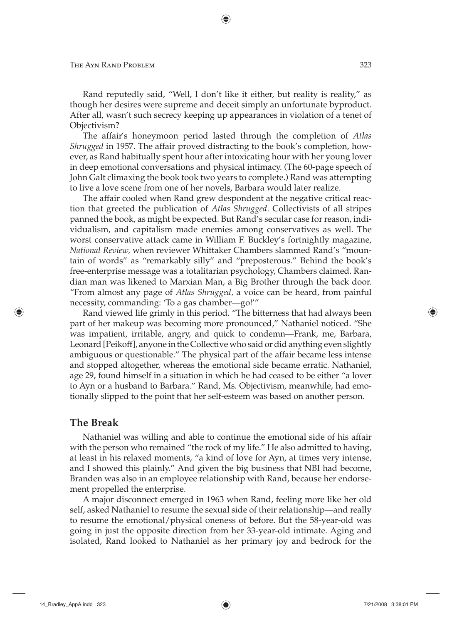Rand reputedly said, "Well, I don't like it either, but reality is reality," as though her desires were supreme and deceit simply an unfortunate byproduct. After all, wasn't such secrecy keeping up appearances in violation of a tenet of Objectivism?

The affair's honeymoon period lasted through the completion of *Atlas Shrugged* in 1957. The affair proved distracting to the book's completion, however, as Rand habitually spent hour after intoxicating hour with her young lover in deep emotional conversations and physical intimacy. (The 60-page speech of John Galt climaxing the book took two years to complete.) Rand was attempting to live a love scene from one of her novels, Barbara would later realize.

The affair cooled when Rand grew despondent at the negative critical reaction that greeted the publication of *Atlas Shrugged.* Collectivists of all stripes panned the book, as might be expected. But Rand's secular case for reason, individualism, and capitalism made enemies among conservatives as well. The worst conservative attack came in William F. Buckley's fortnightly magazine, *National Review,* when reviewer Whittaker Chambers slammed Rand's "mountain of words" as "remarkably silly" and "preposterous." Behind the book's free-enterprise message was a totalitarian psychology, Chambers claimed. Randian man was likened to Marxian Man, a Big Brother through the back door. "From almost any page of *Atlas Shrugged,* a voice can be heard, from painful necessity, commanding: 'To a gas chamber—go!'"

Rand viewed life grimly in this period. "The bitterness that had always been part of her makeup was becoming more pronounced," Nathaniel noticed. "She was impatient, irritable, angry, and quick to condemn—Frank, me, Barbara, Leonard [Peikoff], anyone in the Collective who said or did anything even slightly ambiguous or questionable." The physical part of the affair became less intense and stopped altogether, whereas the emotional side became erratic. Nathaniel, age 29, found himself in a situation in which he had ceased to be either "a lover to Ayn or a husband to Barbara." Rand, Ms. Objectivism, meanwhile, had emotionally slipped to the point that her self-esteem was based on another person.

### **The Break**

↔

Nathaniel was willing and able to continue the emotional side of his affair with the person who remained "the rock of my life." He also admitted to having, at least in his relaxed moments, "a kind of love for Ayn, at times very intense, and I showed this plainly." And given the big business that NBI had become, Branden was also in an employee relationship with Rand, because her endorsement propelled the enterprise.

A major disconnect emerged in 1963 when Rand, feeling more like her old self, asked Nathaniel to resume the sexual side of their relationship—and really to resume the emotional/physical oneness of before. But the 58-year-old was going in just the opposite direction from her 33-year-old intimate. Aging and isolated, Rand looked to Nathaniel as her primary joy and bedrock for the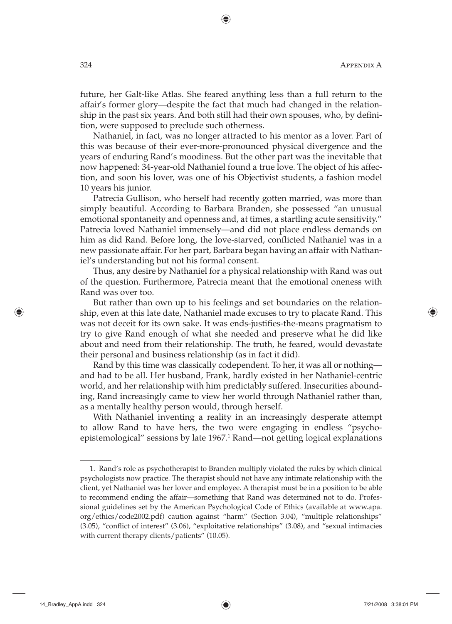#### 324 Appendix A

future, her Galt-like Atlas. She feared anything less than a full return to the affair's former glory—despite the fact that much had changed in the relationship in the past six years. And both still had their own spouses, who, by definition, were supposed to preclude such otherness.

Nathaniel, in fact, was no longer attracted to his mentor as a lover. Part of this was because of their ever-more-pronounced physical divergence and the years of enduring Rand's moodiness. But the other part was the inevitable that now happened: 34-year-old Nathaniel found a true love. The object of his affection, and soon his lover, was one of his Objectivist students, a fashion model 10 years his junior.

Patrecia Gullison, who herself had recently gotten married, was more than simply beautiful. According to Barbara Branden, she possessed "an unusual emotional spontaneity and openness and, at times, a startling acute sensitivity." Patrecia loved Nathaniel immensely—and did not place endless demands on him as did Rand. Before long, the love-starved, conflicted Nathaniel was in a new passionate affair. For her part, Barbara began having an affair with Nathaniel's understanding but not his formal consent.

Thus, any desire by Nathaniel for a physical relationship with Rand was out of the question. Furthermore, Patrecia meant that the emotional oneness with Rand was over too.

But rather than own up to his feelings and set boundaries on the relationship, even at this late date, Nathaniel made excuses to try to placate Rand. This was not deceit for its own sake. It was ends-justifies-the-means pragmatism to try to give Rand enough of what she needed and preserve what he did like about and need from their relationship. The truth, he feared, would devastate their personal and business relationship (as in fact it did).

Rand by this time was classically codependent. To her, it was all or nothing and had to be all. Her husband, Frank, hardly existed in her Nathaniel-centric world, and her relationship with him predictably suffered. Insecurities abounding, Rand increasingly came to view her world through Nathaniel rather than, as a mentally healthy person would, through herself.

With Nathaniel inventing a reality in an increasingly desperate attempt to allow Rand to have hers, the two were engaging in endless "psychoepistemological" sessions by late 1967.1 Rand—not getting logical explanations

<sup>1.</sup> Rand's role as psychotherapist to Branden multiply violated the rules by which clinical psychologists now practice. The therapist should not have any intimate relationship with the client, yet Nathaniel was her lover and employee. A therapist must be in a position to be able to recommend ending the affair—something that Rand was determined not to do. Professional guidelines set by the American Psychological Code of Ethics (available at www.apa. org/ethics/code2002.pdf) caution against "harm" (Section 3.04), "multiple relationships"  $(3.05)$ , "conflict of interest"  $(3.06)$ , "exploitative relationships"  $(3.08)$ , and "sexual intimacies with current therapy clients/patients" (10.05).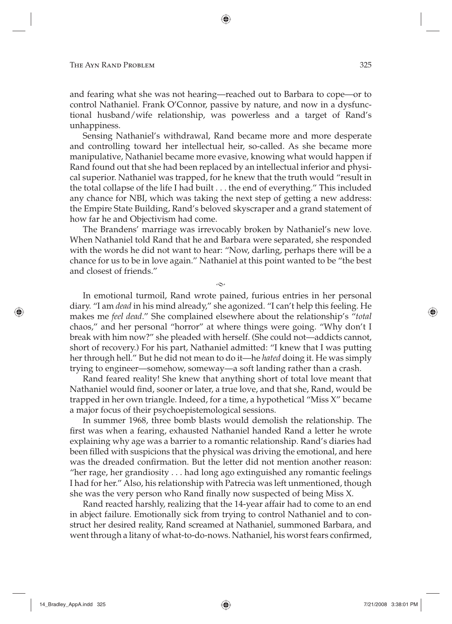and fearing what she was not hearing—reached out to Barbara to cope—or to control Nathaniel. Frank O'Connor, passive by nature, and now in a dysfunctional husband/wife relationship, was powerless and a target of Rand's unhappiness.

Sensing Nathaniel's withdrawal, Rand became more and more desperate and controlling toward her intellectual heir, so-called. As she became more manipulative, Nathaniel became more evasive, knowing what would happen if Rand found out that she had been replaced by an intellectual inferior and physical superior. Nathaniel was trapped, for he knew that the truth would "result in the total collapse of the life I had built . . . the end of everything." This included any chance for NBI, which was taking the next step of getting a new address: the Empire State Building, Rand's beloved skyscraper and a grand statement of how far he and Objectivism had come.

The Brandens' marriage was irrevocably broken by Nathaniel's new love. When Nathaniel told Rand that he and Barbara were separated, she responded with the words he did not want to hear: "Now, darling, perhaps there will be a chance for us to be in love again." Nathaniel at this point wanted to be "the best and closest of friends."

 $\sim$ 

In emotional turmoil, Rand wrote pained, furious entries in her personal diary. "I am *dead* in his mind already," she agonized. "I can't help this feeling. He makes me *feel dead.*" She complained elsewhere about the relationship's "*total* chaos," and her personal "horror" at where things were going. "Why don't I break with him now?" she pleaded with herself. (She could not—addicts cannot, short of recovery.) For his part, Nathaniel admitted: "I knew that I was putting her through hell." But he did not mean to do it—he *hated* doing it. He was simply trying to engineer—somehow, someway—a soft landing rather than a crash.

Rand feared reality! She knew that anything short of total love meant that Nathaniel would find, sooner or later, a true love, and that she, Rand, would be trapped in her own triangle. Indeed, for a time, a hypothetical "Miss X" became a major focus of their psychoepistemological sessions.

In summer 1968, three bomb blasts would demolish the relationship. The first was when a fearing, exhausted Nathaniel handed Rand a letter he wrote explaining why age was a barrier to a romantic relationship. Rand's diaries had been filled with suspicions that the physical was driving the emotional, and here was the dreaded confirmation. But the letter did not mention another reason: "her rage, her grandiosity . . . had long ago extinguished any romantic feelings I had for her." Also, his relationship with Patrecia was left unmentioned, though she was the very person who Rand finally now suspected of being Miss X.

Rand reacted harshly, realizing that the 14-year affair had to come to an end in abject failure. Emotionally sick from trying to control Nathaniel and to construct her desired reality, Rand screamed at Nathaniel, summoned Barbara, and went through a litany of what-to-do-nows. Nathaniel, his worst fears confirmed,

↔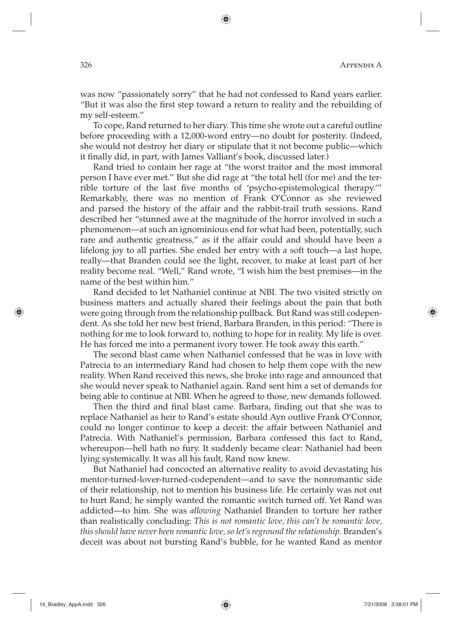was now "passionately sorry" that he had not confessed to Rand years earlier. "But it was also the first step toward a return to reality and the rebuilding of my self-esteem."

To cope, Rand returned to her diary. This time she wrote out a careful outline before proceeding with a 12,000-word entry—no doubt for posterity. (Indeed, she would not destroy her diary or stipulate that it not become public—which it finally did, in part, with James Valliant's book, discussed later.)

Rand tried to contain her rage at "the worst traitor and the most immoral person I have ever met." But she did rage at "the total hell (for me) and the terrible torture of the last five months of 'psycho-epistemological therapy.'" Remarkably, there was no mention of Frank O'Connor as she reviewed and parsed the history of the affair and the rabbit-trail truth sessions. Rand described her "stunned awe at the magnitude of the horror involved in such a phenomenon—at such an ignominious end for what had been, potentially, such rare and authentic greatness," as if the affair could and should have been a lifelong joy to all parties. She ended her entry with a soft touch—a last hope, really—that Branden could see the light, recover, to make at least part of her reality become real. "Well," Rand wrote, "I wish him the best premises—in the name of the best within him."

Rand decided to let Nathaniel continue at NBI. The two visited strictly on business matters and actually shared their feelings about the pain that both were going through from the relationship pullback. But Rand was still codependent. As she told her new best friend, Barbara Branden, in this period: "There is nothing for me to look forward to, nothing to hope for in reality. My life is over. He has forced me into a permanent ivory tower. He took away this earth."

The second blast came when Nathaniel confessed that he was in love with Patrecia to an intermediary Rand had chosen to help them cope with the new reality. When Rand received this news, she broke into rage and announced that she would never speak to Nathaniel again. Rand sent him a set of demands for being able to continue at NBI. When he agreed to those, new demands followed.

Then the third and final blast came. Barbara, finding out that she was to replace Nathaniel as heir to Rand's estate should Ayn outlive Frank O'Connor, could no longer continue to keep a deceit: the affair between Nathaniel and Patrecia. With Nathaniel's permission, Barbara confessed this fact to Rand, whereupon—hell hath no fury. It suddenly became clear: Nathaniel had been lying systemically. It was all his fault, Rand now knew.

But Nathaniel had concocted an alternative reality to avoid devastating his mentor-turned-lover-turned-codependent—and to save the nonromantic side of their relationship, not to mention his business life. He certainly was not out to hurt Rand; he simply wanted the romantic switch turned off. Yet Rand was addicted—to him. She was *allowing* Nathaniel Branden to torture her rather than realistically concluding: *This is not romantic love, this can't be romantic love, this should have never been romantic love, so let's reground the relationship.* Branden's deceit was about not bursting Rand's bubble, for he wanted Rand as mentor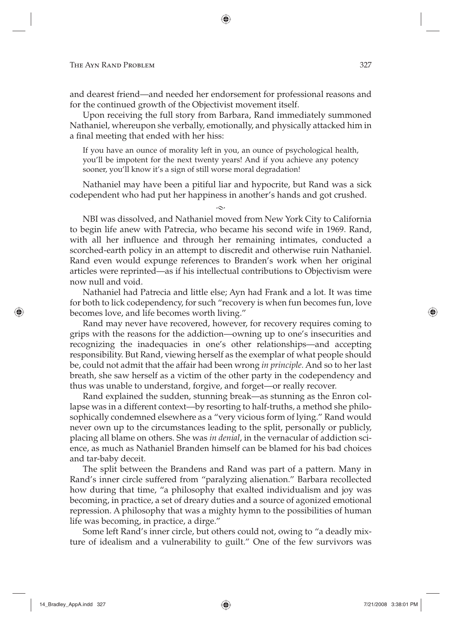and dearest friend—and needed her endorsement for professional reasons and for the continued growth of the Objectivist movement itself.

Upon receiving the full story from Barbara, Rand immediately summoned Nathaniel, whereupon she verbally, emotionally, and physically attacked him in a final meeting that ended with her hiss:

If you have an ounce of morality left in you, an ounce of psychological health, you'll be impotent for the next twenty years! And if you achieve any potency sooner, you'll know it's a sign of still worse moral degradation!

Nathaniel may have been a pitiful liar and hypocrite, but Rand was a sick codependent who had put her happiness in another 's hands and got crushed.

 $\sim$ 

NBI was dissolved, and Nathaniel moved from New York City to California to begin life anew with Patrecia, who became his second wife in 1969. Rand, with all her influence and through her remaining intimates, conducted a scorched-earth policy in an attempt to discredit and otherwise ruin Nathaniel. Rand even would expunge references to Branden's work when her original articles were reprinted—as if his intellectual contributions to Objectivism were now null and void.

Nathaniel had Patrecia and little else; Ayn had Frank and a lot. It was time for both to lick codependency, for such "recovery is when fun becomes fun, love becomes love, and life becomes worth living."

Rand may never have recovered, however, for recovery requires coming to grips with the reasons for the addiction—owning up to one's insecurities and recognizing the inadequacies in one's other relationships—and accepting responsibility. But Rand, viewing herself as the exemplar of what people should be, could not admit that the affair had been wrong *in principle.* And so to her last breath, she saw herself as a victim of the other party in the codependency and thus was unable to understand, forgive, and forget—or really recover.

Rand explained the sudden, stunning break—as stunning as the Enron collapse was in a different context—by resorting to half-truths, a method she philosophically condemned elsewhere as a "very vicious form of lying." Rand would never own up to the circumstances leading to the split, personally or publicly, placing all blame on others. She was *in denial*, in the vernacular of addiction science, as much as Nathaniel Branden himself can be blamed for his bad choices and tar-baby deceit.

The split between the Brandens and Rand was part of a pattern. Many in Rand's inner circle suffered from "paralyzing alienation." Barbara recollected how during that time, "a philosophy that exalted individualism and joy was becoming, in practice, a set of dreary duties and a source of agonized emotional repression. A philosophy that was a mighty hymn to the possibilities of human life was becoming, in practice, a dirge."

Some left Rand's inner circle, but others could not, owing to "a deadly mixture of idealism and a vulnerability to guilt." One of the few survivors was

⊕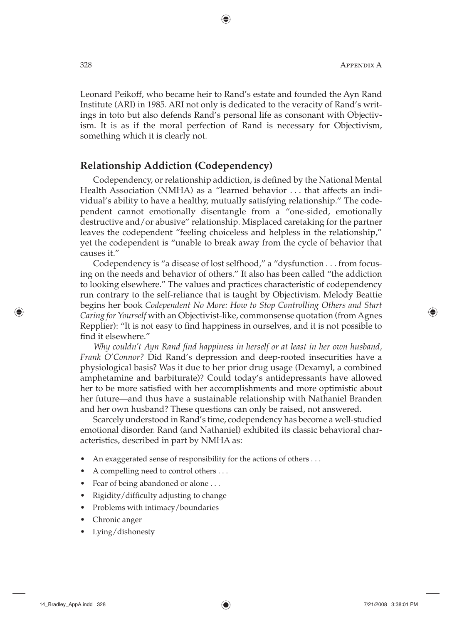Leonard Peikoff, who became heir to Rand's estate and founded the Ayn Rand Institute (ARI) in 1985. ARI not only is dedicated to the veracity of Rand's writings in toto but also defends Rand's personal life as consonant with Objectivism. It is as if the moral perfection of Rand is necessary for Objectivism, something which it is clearly not.

⊕

## **Relationship Addiction (Codependency)**

Codependency, or relationship addiction, is defined by the National Mental Health Association (NMHA) as a "learned behavior . . . that affects an individual's ability to have a healthy, mutually satisfying relationship." The codependent cannot emotionally disentangle from a "one-sided, emotionally destructive and/or abusive" relationship. Misplaced caretaking for the partner leaves the codependent "feeling choiceless and helpless in the relationship," yet the codependent is "unable to break away from the cycle of behavior that causes it."

Codependency is "a disease of lost selfhood," a "dysfunction . . . from focusing on the needs and behavior of others." It also has been called "the addiction to looking elsewhere." The values and practices characteristic of codependency run contrary to the self-reliance that is taught by Objectivism. Melody Beattie begins her book *Codependent No More: How to Stop Controlling Others and Start Caring for Yourself* with an Objectivist-like, commonsense quotation (from Agnes Repplier): "It is not easy to find happiness in ourselves, and it is not possible to find it elsewhere."

*Why couldn't Ayn Rand find happiness in herself or at least in her own husband, Frank O'Connor?* Did Rand's depression and deep-rooted insecurities have a physiological basis? Was it due to her prior drug usage (Dexamyl, a combined amphetamine and barbiturate)? Could today's antidepressants have allowed her to be more satisfied with her accomplishments and more optimistic about her future—and thus have a sustainable relationship with Nathaniel Branden and her own husband? These questions can only be raised, not answered.

Scarcely understood in Rand's time, codependency has become a well-studied emotional disorder. Rand (and Nathaniel) exhibited its classic behavioral characteristics, described in part by NMHA as:

- An exaggerated sense of responsibility for the actions of others . . .
- A compelling need to control others . . .
- Fear of being abandoned or alone . . .
- Rigidity/difficulty adjusting to change
- Problems with intimacy/boundaries
- Chronic anger
- Lying/dishonesty

◈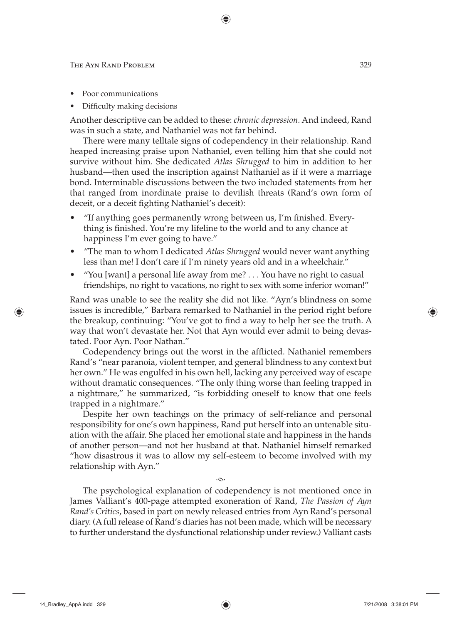- Poor communications
- Difficulty making decisions

Another descriptive can be added to these: *chronic depression.* And indeed, Rand was in such a state, and Nathaniel was not far behind.

There were many telltale signs of codependency in their relationship. Rand heaped increasing praise upon Nathaniel, even telling him that she could not survive without him. She dedicated *Atlas Shrugged* to him in addition to her husband—then used the inscription against Nathaniel as if it were a marriage bond. Interminable discussions between the two included statements from her that ranged from inordinate praise to devilish threats (Rand's own form of deceit, or a deceit fighting Nathaniel's deceit):

- "If anything goes permanently wrong between us, I'm finished. Everything is finished. You're my lifeline to the world and to any chance at happiness I'm ever going to have."
- "The man to whom I dedicated *Atlas Shrugged* would never want anything less than me! I don't care if I'm ninety years old and in a wheelchair."
- "You [want] a personal life away from me? . . . You have no right to casual friendships, no right to vacations, no right to sex with some inferior woman!"

Rand was unable to see the reality she did not like. "Ayn's blindness on some issues is incredible," Barbara remarked to Nathaniel in the period right before the breakup, continuing: "You've got to find a way to help her see the truth. A way that won't devastate her. Not that Ayn would ever admit to being devastated. Poor Ayn. Poor Nathan."

Codependency brings out the worst in the afflicted. Nathaniel remembers Rand's "near paranoia, violent temper, and general blindness to any context but her own." He was engulfed in his own hell, lacking any perceived way of escape without dramatic consequences. "The only thing worse than feeling trapped in a nightmare," he summarized, "is forbidding oneself to know that one feels trapped in a nightmare."

Despite her own teachings on the primacy of self-reliance and personal responsibility for one's own happiness, Rand put herself into an untenable situation with the affair. She placed her emotional state and happiness in the hands of another person—and not her husband at that. Nathaniel himself remarked "how disastrous it was to allow my self-esteem to become involved with my relationship with Ayn."

The psychological explanation of codependency is not mentioned once in James Valliant's 400-page attempted exoneration of Rand, *The Passion of Ayn Rand's Critics*, based in part on newly released entries from Ayn Rand's personal diary. (A full release of Rand's diaries has not been made, which will be necessary to further understand the dysfunctional relationship under review.) Valliant casts

 $\sim$ 

↔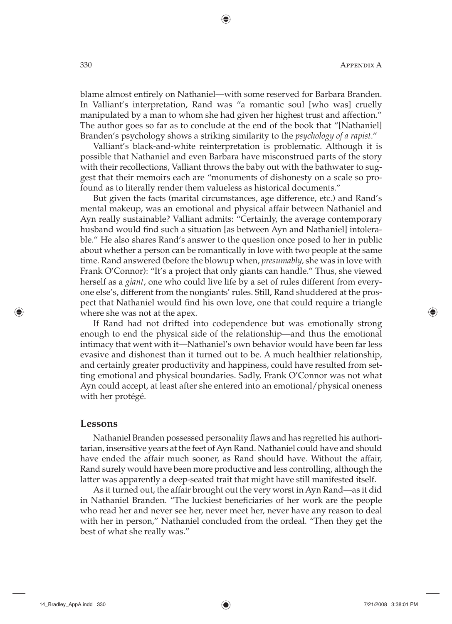#### 330 Appendix A

blame almost entirely on Nathaniel—with some reserved for Barbara Branden. In Valliant's interpretation, Rand was "a romantic soul [who was] cruelly manipulated by a man to whom she had given her highest trust and affection." The author goes so far as to conclude at the end of the book that "[Nathaniel] Branden's psychology shows a striking similarity to the *psychology of a rapist.*"

Valliant's black-and-white reinterpretation is problematic. Although it is possible that Nathaniel and even Barbara have misconstrued parts of the story with their recollections, Valliant throws the baby out with the bathwater to suggest that their memoirs each are "monuments of dishonesty on a scale so profound as to literally render them valueless as historical documents."

But given the facts (marital circumstances, age difference, etc.) and Rand's mental makeup, was an emotional and physical affair between Nathaniel and Ayn really sustainable? Valliant admits: "Certainly, the average contemporary husband would find such a situation [as between Ayn and Nathaniel] intolerable." He also shares Rand's answer to the question once posed to her in public about whether a person can be romantically in love with two people at the same time. Rand answered (before the blowup when, *presumably,* she was in love with Frank O'Connor): "It's a project that only giants can handle." Thus, she viewed herself as a *giant*, one who could live life by a set of rules different from everyone else's, different from the nongiants' rules. Still, Rand shuddered at the prospect that Nathaniel would find his own love, one that could require a triangle where she was not at the apex.

If Rand had not drifted into codependence but was emotionally strong enough to end the physical side of the relationship—and thus the emotional intimacy that went with it—Nathaniel's own behavior would have been far less evasive and dishonest than it turned out to be. A much healthier relationship, and certainly greater productivity and happiness, could have resulted from setting emotional and physical boundaries. Sadly, Frank O'Connor was not what Ayn could accept, at least after she entered into an emotional/physical oneness with her protégé.

#### **Lessons**

↔

Nathaniel Branden possessed personality flaws and has regretted his authoritarian, insensitive years at the feet of Ayn Rand. Nathaniel could have and should have ended the affair much sooner, as Rand should have. Without the affair, Rand surely would have been more productive and less controlling, although the latter was apparently a deep-seated trait that might have still manifested itself.

As it turned out, the affair brought out the very worst in Ayn Rand—as it did in Nathaniel Branden. "The luckiest beneficiaries of her work are the people who read her and never see her, never meet her, never have any reason to deal with her in person," Nathaniel concluded from the ordeal. "Then they get the best of what she really was."